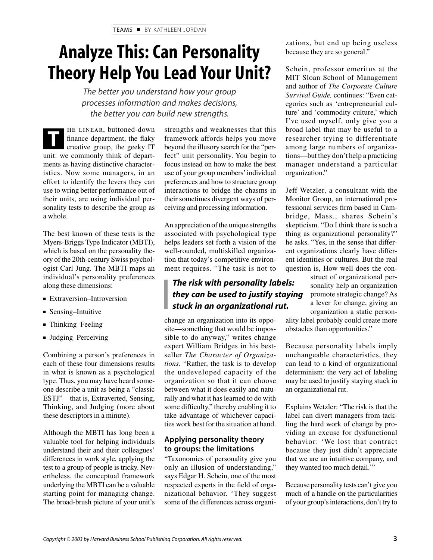# **Analyze This: Can Personality Theory Help You Lead Your Unit?**

*The better you understand how your group processes information and makes decisions, the better you can build new strengths.*

he linear, buttoned-down finance department, the flaky creative group, the geeky IT unit: we commonly think of departments as having distinctive characteristics. Now some managers, in an effort to identify the levers they can use to wring better performance out of their units, are using individual personality tests to describe the group as a whole.

The best known of these tests is the Myers-Briggs Type Indicator (MBTI), which is based on the personality theory of the 20th-century Swiss psychologist Carl Jung. The MBTI maps an individual's personality preferences along these dimensions:

- Extraversion–Introversion
- Sensing–Intuitive
- Thinking–Feeling
- Judging–Perceiving

Combining a person's preferences in each of these four dimensions results in what is known as a psychological type. Thus, you may have heard someone describe a unit as being a "classic ESTJ"—that is, Extraverted, Sensing, Thinking, and Judging (more about these descriptors in a minute).

Although the MBTI has long been a valuable tool for helping individuals understand their and their colleagues' differences in work style, applying the test to a group of people is tricky. Nevertheless, the conceptual framework underlying the MBTI can be a valuable starting point for managing change. The broad-brush picture of your unit's

**THE LINEAR, buttoned-down** strengths and weaknesses that this finance department, the flaky framework affords helps you move creative group, the geeky IT beyond the illusory search for the "perframework affords helps you move fect" unit personality. You begin to focus instead on how to make the best use of your group members' individual preferences and how to structure group interactions to bridge the chasms in their sometimes divergent ways of perceiving and processing information.

> An appreciation of the unique strengths associated with psychological type helps leaders set forth a vision of the well-rounded, multiskilled organization that today's competitive environment requires. "The task is not to

# *The risk with personality labels: they can be used to justify staying stuck in an organizational rut.*

change an organization into its opposite—something that would be impossible to do anyway," writes change expert William Bridges in his bestseller *The Character of Organizations.* "Rather, the task is to develop the undeveloped capacity of the organization so that it can choose between what it does easily and naturally and what it has learned to do with some difficulty," thereby enabling it to take advantage of whichever capacities work best for the situation at hand.

# **Applying personality theory to groups: the limitations**

"Taxonomies of personality give you only an illusion of understanding," says Edgar H. Schein, one of the most respected experts in the field of organizational behavior. "They suggest some of the differences across organizations, but end up being useless because they are so general."

Schein, professor emeritus at the MIT Sloan School of Management and author of *The Corporate Culture Survival Guide,* continues: "Even categories such as 'entrepreneurial culture' and 'commodity culture,' which I've used myself, only give you a broad label that may be useful to a researcher trying to differentiate among large numbers of organizations—but they don't help a practicing manager understand a particular organization."

Jeff Wetzler, a consultant with the Monitor Group, an international professional services firm based in Cambridge, Mass., shares Schein's skepticism. "Do I think there is such a thing as organizational personality?" he asks. "Yes, in the sense that different organizations clearly have different identities or cultures. But the real question is, How well does the con-

> struct of organizational personality help an organization promote strategic change? As a lever for change, giving an organization a static person-

ality label probably could create more obstacles than opportunities."

Because personality labels imply unchangeable characteristics, they can lead to a kind of organizational determinism: the very act of labeling may be used to justify staying stuck in an organizational rut.

Explains Wetzler: "The risk is that the label can divert managers from tackling the hard work of change by providing an excuse for dysfunctional behavior: 'We lost that contract because they just didn't appreciate that we are an intuitive company, and they wanted too much detail.'"

Because personality tests can't give you much of a handle on the particularities of your group's interactions, don't try to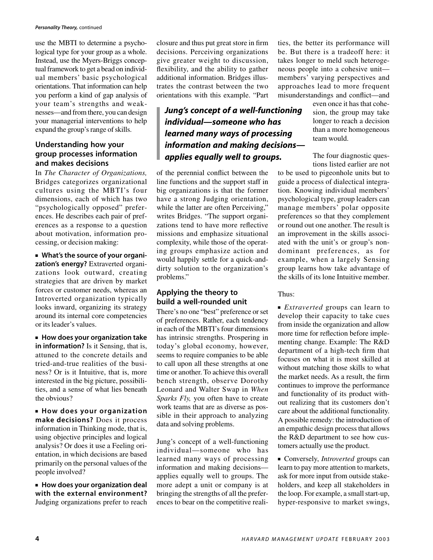### *Personality Theory,* continued

use the MBTI to determine a psychological type for your group as a whole. Instead, use the Myers-Briggs conceptual framework to get a bead on individual members' basic psychological orientations. That information can help you perform a kind of gap analysis of your team's strengths and weaknesses—and from there, you can design your managerial interventions to help expand the group's range of skills.

## **Understanding how your group processes information and makes decisions**

In *The Character of Organizations,* Bridges categorizes organizational cultures using the MBTI's four dimensions, each of which has two "psychologically opposed" preferences. He describes each pair of preferences as a response to a question about motivation, information processing, or decision making:

■ **What's the source of your organization's energy?** Extraverted organizations look outward, creating strategies that are driven by market forces or customer needs, whereas an Introverted organization typically looks inward, organizing its strategy around its internal core competencies or its leader's values.

■ **How does your organization take in information?** Is it Sensing, that is, attuned to the concrete details and tried-and-true realities of the business? Or is it Intuitive, that is, more interested in the big picture, possibilities, and a sense of what lies beneath the obvious?

■ **How does your organization make decisions?** Does it process information in Thinking mode, that is, using objective principles and logical analysis? Or does it use a Feeling orientation, in which decisions are based primarily on the personal values of the people involved?

■ **How does your organization deal with the external environment?** Judging organizations prefer to reach

closure and thus put great store in firm decisions. Perceiving organizations give greater weight to discussion, flexibility, and the ability to gather additional information. Bridges illustrates the contrast between the two orientations with this example. "Part

# *Jung's concept of a well-functioning individual—someone who has learned many ways of processing information and making decisions applies equally well to groups.*

of the perennial conflict between the line functions and the support staff in big organizations is that the former have a strong Judging orientation, while the latter are often Perceiving," writes Bridges. "The support organizations tend to have more reflective missions and emphasize situational complexity, while those of the operating groups emphasize action and would happily settle for a quick-anddirty solution to the organization's problems."

# **Applying the theory to build a well-rounded unit**

There's no one "best" preference or set of preferences. Rather, each tendency in each of the MBTI's four dimensions has intrinsic strengths. Prospering in today's global economy, however, seems to require companies to be able to call upon all these strengths at one time or another. To achieve this overall bench strength, observe Dorothy Leonard and Walter Swap in *When Sparks Fly,* you often have to create work teams that are as diverse as possible in their approach to analyzing data and solving problems.

Jung's concept of a well-functioning individual—someone who has learned many ways of processing information and making decisions applies equally well to groups. The more adept a unit or company is at bringing the strengths of all the preferences to bear on the competitive reali-

ties, the better its performance will be. But there is a tradeoff here: it takes longer to meld such heterogeneous people into a cohesive unit members' varying perspectives and approaches lead to more frequent misunderstandings and conflict—and

> even once it has that cohesion, the group may take longer to reach a decision than a more homogeneous team would.

> The four diagnostic questions listed earlier are not

to be used to pigeonhole units but to guide a process of dialectical integration. Knowing individual members' psychological type, group leaders can manage members' polar opposite preferences so that they complement or round out one another. The result is an improvement in the skills associated with the unit's or group's nondominant preferences, as for example, when a largely Sensing group learns how take advantage of the skills of its lone Intuitive member.

Thus:

■ *Extraverted* groups can learn to develop their capacity to take cues from inside the organization and allow more time for reflection before implementing change. Example: The R&D department of a high-tech firm that focuses on what it is most skilled at without matching those skills to what the market needs. As a result, the firm continues to improve the performance and functionality of its product without realizing that its customers don't care about the additional functionality. A possible remedy: the introduction of an empathic design process that allows the R&D department to see how customers actually use the product.

■ Conversely, *Introverted* groups can learn to pay more attention to markets, ask for more input from outside stakeholders, and keep all stakeholders in the loop. For example, a small start-up, hyper-responsive to market swings,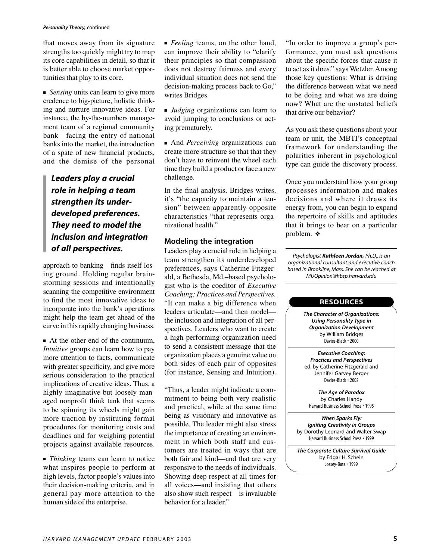#### *Personality Theory,* continued

that moves away from its signature strengths too quickly might try to map its core capabilities in detail, so that it is better able to choose market opportunities that play to its core.

■ *Sensing* units can learn to give more credence to big-picture, holistic thinking and nurture innovative ideas. For instance, the by-the-numbers management team of a regional community bank—facing the entry of national banks into the market, the introduction of a spate of new financial products, and the demise of the personal

*Leaders play a crucial role in helping a team strengthen its underdeveloped preferences. They need to model the inclusion and integration of all perspectives.*

approach to banking—finds itself losing ground. Holding regular brainstorming sessions and intentionally scanning the competitive environment to find the most innovative ideas to incorporate into the bank's operations might help the team get ahead of the curve in this rapidly changing business.

■ At the other end of the continuum, *Intuitive* groups can learn how to pay more attention to facts, communicate with greater specificity, and give more serious consideration to the practical implications of creative ideas. Thus, a highly imaginative but loosely managed nonprofit think tank that seems to be spinning its wheels might gain more traction by instituting formal procedures for monitoring costs and deadlines and for weighing potential projects against available resources.

■ *Thinking* teams can learn to notice what inspires people to perform at high levels, factor people's values into their decision-making criteria, and in general pay more attention to the human side of the enterprise.

■ *Feeling* teams, on the other hand, can improve their ability to "clarify their principles so that compassion does not destroy fairness and every individual situation does not send the decision-making process back to Go," writes Bridges.

■ *Judging* organizations can learn to avoid jumping to conclusions or acting prematurely.

■ And *Perceiving* organizations can create more structure so that that they don't have to reinvent the wheel each time they build a product or face a new challenge.

In the final analysis, Bridges writes, it's "the capacity to maintain a tension" between apparently opposite characteristics "that represents organizational health."

## **Modeling the integration**

Leaders play a crucial role in helping a team strengthen its underdeveloped preferences, says Catherine Fitzgerald, a Bethesda, Md.–based psychologist who is the coeditor of *Executive Coaching: Practices and Perspectives.* "It can make a big difference when leaders articulate—and then model the inclusion and integration of all perspectives. Leaders who want to create a high-performing organization need to send a consistent message that the organization places a genuine value on both sides of each pair of opposites (for instance, Sensing and Intuition).

"Thus, a leader might indicate a commitment to being both very realistic and practical, while at the same time being as visionary and innovative as possible. The leader might also stress the importance of creating an environment in which both staff and customers are treated in ways that are both fair and kind—and that are very responsive to the needs of individuals. Showing deep respect at all times for all voices—and insisting that others also show such respect—is invaluable behavior for a leader."

"In order to improve a group's performance, you must ask questions about the specific forces that cause it to act as it does," says Wetzler. Among those key questions: What is driving the difference between what we need to be doing and what we are doing now? What are the unstated beliefs that drive our behavior?

As you ask these questions about your team or unit, the MBTI's conceptual framework for understanding the polarities inherent in psychological type can guide the discovery process.

Once you understand how your group processes information and makes decisions and where it draws its energy from, you can begin to expand the repertoire of skills and aptitudes that it brings to bear on a particular problem. ❖

*Psychologist Kathleen Jordan, Ph.D., is an organizational consultant and executive coach based in Brookline, Mass. She can be reached at MUOpinion@hbsp.harvard.edu*

### **RESOURCES**

*The Character of Organizations: Using Personality Type in Organization Development* by William Bridges Davies-Black • 2000

*Executive Coaching: Practices and Perspectives* ed. by Catherine Fitzgerald and Jennifer Garvey Berger Davies-Black • 2002

*The Age of Paradox* by Charles Handy Harvard Business School Press • 1995

*When Sparks Fly: Igniting Creativity in Groups* by Dorothy Leonard and Walter Swap Harvard Business School Press • 1999

*The Corporate Culture Survival Guide* by Edgar H. Schein Jossey-Bass • 1999